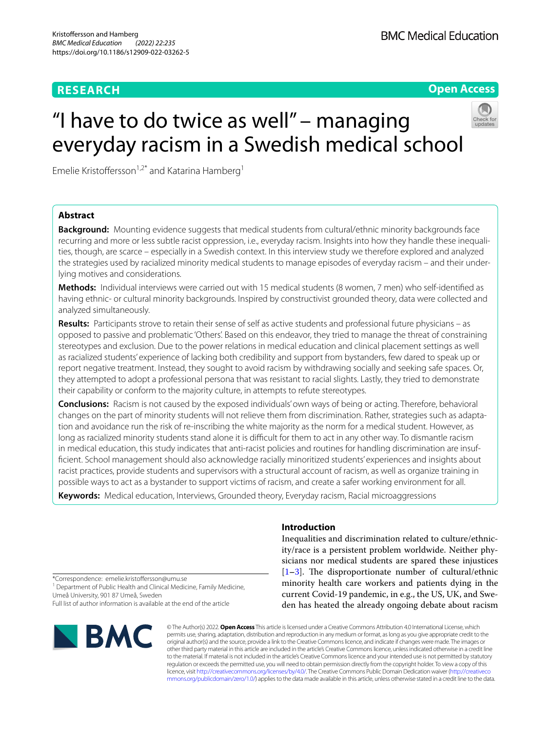# **RESEARCH**

**Open Access**

# "I have to do twice as well" – managing everyday racism in a Swedish medical school



# **Abstract**

**Background:** Mounting evidence suggests that medical students from cultural/ethnic minority backgrounds face recurring and more or less subtle racist oppression, i.e., everyday racism. Insights into how they handle these inequalities, though, are scarce – especially in a Swedish context. In this interview study we therefore explored and analyzed the strategies used by racialized minority medical students to manage episodes of everyday racism – and their underlying motives and considerations.

**Methods:** Individual interviews were carried out with 15 medical students (8 women, 7 men) who self-identifed as having ethnic- or cultural minority backgrounds. Inspired by constructivist grounded theory, data were collected and analyzed simultaneously.

**Results:** Participants strove to retain their sense of self as active students and professional future physicians – as opposed to passive and problematic 'Others'. Based on this endeavor, they tried to manage the threat of constraining stereotypes and exclusion. Due to the power relations in medical education and clinical placement settings as well as racialized students' experience of lacking both credibility and support from bystanders, few dared to speak up or report negative treatment. Instead, they sought to avoid racism by withdrawing socially and seeking safe spaces. Or, they attempted to adopt a professional persona that was resistant to racial slights. Lastly, they tried to demonstrate their capability or conform to the majority culture, in attempts to refute stereotypes.

**Conclusions:** Racism is not caused by the exposed individuals' own ways of being or acting. Therefore, behavioral changes on the part of minority students will not relieve them from discrimination. Rather, strategies such as adaptation and avoidance run the risk of re-inscribing the white majority as the norm for a medical student. However, as long as racialized minority students stand alone it is difficult for them to act in any other way. To dismantle racism in medical education, this study indicates that anti-racist policies and routines for handling discrimination are insuffcient. School management should also acknowledge racially minoritized students' experiences and insights about racist practices, provide students and supervisors with a structural account of racism, as well as organize training in possible ways to act as a bystander to support victims of racism, and create a safer working environment for all.

**Keywords:** Medical education, Interviews, Grounded theory, Everyday racism, Racial microaggressions

**Introduction**

Inequalities and discrimination related to culture/ethnicity/race is a persistent problem worldwide. Neither physicians nor medical students are spared these injustices [[1](#page-9-0)–[3\]](#page-9-1). The disproportionate number of cultural/ethnic minority health care workers and patients dying in the current Covid-19 pandemic, in e.g., the US, UK, and Sweden has heated the already ongoing debate about racism

\*Correspondence: emelie.kristofersson@umu.se

<sup>1</sup> Department of Public Health and Clinical Medicine, Family Medicine, Umeå University, 901 87 Umeå, Sweden

Full list of author information is available at the end of the article



© The Author(s) 2022. **Open Access** This article is licensed under a Creative Commons Attribution 4.0 International License, which permits use, sharing, adaptation, distribution and reproduction in any medium or format, as long as you give appropriate credit to the original author(s) and the source, provide a link to the Creative Commons licence, and indicate if changes were made. The images or other third party material in this article are included in the article's Creative Commons licence, unless indicated otherwise in a credit line to the material. If material is not included in the article's Creative Commons licence and your intended use is not permitted by statutory regulation or exceeds the permitted use, you will need to obtain permission directly from the copyright holder. To view a copy of this licence, visit [http://creativecommons.org/licenses/by/4.0/.](http://creativecommons.org/licenses/by/4.0/) The Creative Commons Public Domain Dedication waiver ([http://creativeco](http://creativecommons.org/publicdomain/zero/1.0/) [mmons.org/publicdomain/zero/1.0/](http://creativecommons.org/publicdomain/zero/1.0/)) applies to the data made available in this article, unless otherwise stated in a credit line to the data.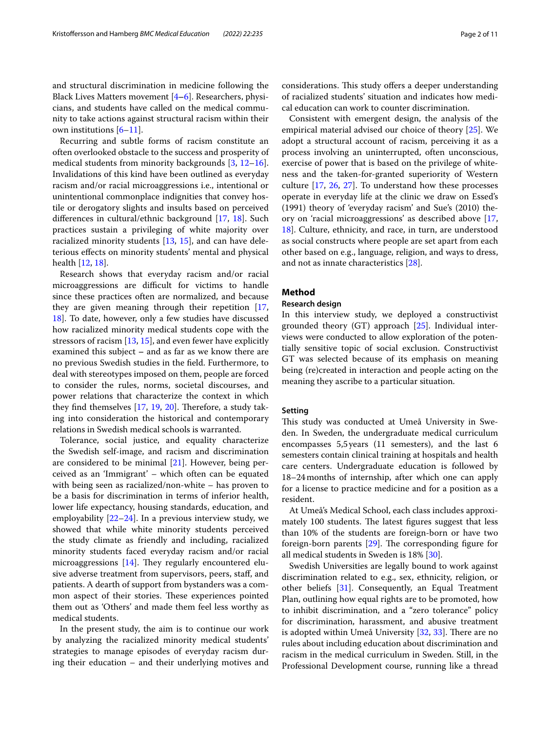cians, and students have called on the medical community to take actions against structural racism within their own institutions  $[6-11]$  $[6-11]$  $[6-11]$ .

Recurring and subtle forms of racism constitute an often overlooked obstacle to the success and prosperity of medical students from minority backgrounds [\[3](#page-9-1), [12](#page-9-5)[–16](#page-9-6)]. Invalidations of this kind have been outlined as everyday racism and/or racial microaggressions i.e., intentional or unintentional commonplace indignities that convey hostile or derogatory slights and insults based on perceived diferences in cultural/ethnic background [\[17,](#page-9-7) [18](#page-9-8)]. Such practices sustain a privileging of white majority over racialized minority students [[13,](#page-9-9) [15\]](#page-9-10), and can have deleterious efects on minority students' mental and physical health [[12,](#page-9-5) [18\]](#page-9-8).

Research shows that everyday racism and/or racial microaggressions are difficult for victims to handle since these practices often are normalized, and because they are given meaning through their repetition [\[17](#page-9-7), [18\]](#page-9-8). To date, however, only a few studies have discussed how racialized minority medical students cope with the stressors of racism [[13](#page-9-9), [15\]](#page-9-10), and even fewer have explicitly examined this subject **–** and as far as we know there are no previous Swedish studies in the feld. Furthermore, to deal with stereotypes imposed on them, people are forced to consider the rules, norms, societal discourses, and power relations that characterize the context in which they find themselves  $[17, 19, 20]$  $[17, 19, 20]$  $[17, 19, 20]$  $[17, 19, 20]$  $[17, 19, 20]$  $[17, 19, 20]$ . Therefore, a study taking into consideration the historical and contemporary relations in Swedish medical schools is warranted.

Tolerance, social justice, and equality characterize the Swedish self-image, and racism and discrimination are considered to be minimal [[21\]](#page-9-13). However, being perceived as an 'Immigrant' – which often can be equated with being seen as racialized/non-white – has proven to be a basis for discrimination in terms of inferior health, lower life expectancy, housing standards, education, and employability [\[22](#page-9-14)[–24\]](#page-9-15). In a previous interview study, we showed that while white minority students perceived the study climate as friendly and including, racialized minority students faced everyday racism and/or racial microaggressions  $[14]$ . They regularly encountered elusive adverse treatment from supervisors, peers, staff, and patients. A dearth of support from bystanders was a common aspect of their stories. These experiences pointed them out as 'Others' and made them feel less worthy as medical students.

In the present study, the aim is to continue our work by analyzing the racialized minority medical students' strategies to manage episodes of everyday racism during their education – and their underlying motives and considerations. This study offers a deeper understanding of racialized students' situation and indicates how medical education can work to counter discrimination.

Consistent with emergent design, the analysis of the empirical material advised our choice of theory [[25\]](#page-9-17). We adopt a structural account of racism, perceiving it as a process involving an uninterrupted, often unconscious, exercise of power that is based on the privilege of whiteness and the taken-for-granted superiority of Western culture [\[17](#page-9-7), [26,](#page-9-18) [27](#page-9-19)]. To understand how these processes operate in everyday life at the clinic we draw on Essed's (1991) theory of 'everyday racism' and Sue's (2010) theory on 'racial microaggressions' as described above [[17](#page-9-7), [18\]](#page-9-8). Culture, ethnicity, and race, in turn, are understood as social constructs where people are set apart from each other based on e.g., language, religion, and ways to dress, and not as innate characteristics [[28](#page-9-20)].

# **Method**

# **Research design**

In this interview study, we deployed a constructivist grounded theory (GT) approach  $[25]$  $[25]$ . Individual interviews were conducted to allow exploration of the potentially sensitive topic of social exclusion. Constructivist GT was selected because of its emphasis on meaning being (re)created in interaction and people acting on the meaning they ascribe to a particular situation.

## **Setting**

This study was conducted at Umeå University in Sweden. In Sweden, the undergraduate medical curriculum encompasses 5,5years (11 semesters), and the last 6 semesters contain clinical training at hospitals and health care centers. Undergraduate education is followed by 18–24months of internship, after which one can apply for a license to practice medicine and for a position as a resident.

At Umeå's Medical School, each class includes approximately 100 students. The latest figures suggest that less than 10% of the students are foreign-born or have two foreign-born parents  $[29]$  $[29]$ . The corresponding figure for all medical students in Sweden is 18% [\[30](#page-9-22)].

Swedish Universities are legally bound to work against discrimination related to e.g., sex, ethnicity, religion, or other beliefs [[31\]](#page-9-23). Consequently, an Equal Treatment Plan, outlining how equal rights are to be promoted, how to inhibit discrimination, and a "zero tolerance" policy for discrimination, harassment, and abusive treatment is adopted within Umeå University  $[32, 33]$  $[32, 33]$  $[32, 33]$  $[32, 33]$  $[32, 33]$ . There are no rules about including education about discrimination and racism in the medical curriculum in Sweden. Still, in the Professional Development course, running like a thread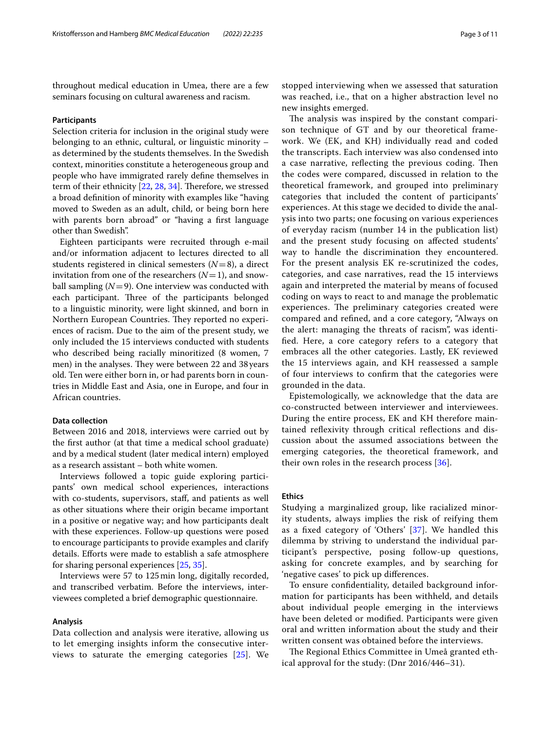throughout medical education in Umea, there are a few seminars focusing on cultural awareness and racism.

# **Participants**

Selection criteria for inclusion in the original study were belonging to an ethnic, cultural, or linguistic minority – as determined by the students themselves. In the Swedish context, minorities constitute a heterogeneous group and people who have immigrated rarely defne themselves in term of their ethnicity [[22,](#page-9-14) [28](#page-9-20), [34\]](#page-9-26). Therefore, we stressed a broad defnition of minority with examples like "having moved to Sweden as an adult, child, or being born here with parents born abroad" or "having a frst language other than Swedish".

Eighteen participants were recruited through e-mail and/or information adjacent to lectures directed to all students registered in clinical semesters (*N*=8), a direct invitation from one of the researchers  $(N=1)$ , and snowball sampling  $(N=9)$ . One interview was conducted with each participant. Three of the participants belonged to a linguistic minority, were light skinned, and born in Northern European Countries. They reported no experiences of racism. Due to the aim of the present study, we only included the 15 interviews conducted with students who described being racially minoritized (8 women, 7 men) in the analyses. They were between 22 and 38 years old. Ten were either born in, or had parents born in countries in Middle East and Asia, one in Europe, and four in African countries.

# **Data collection**

Between 2016 and 2018, interviews were carried out by the frst author (at that time a medical school graduate) and by a medical student (later medical intern) employed as a research assistant – both white women.

Interviews followed a topic guide exploring participants' own medical school experiences, interactions with co-students, supervisors, staff, and patients as well as other situations where their origin became important in a positive or negative way; and how participants dealt with these experiences. Follow-up questions were posed to encourage participants to provide examples and clarify details. Efforts were made to establish a safe atmosphere for sharing personal experiences [\[25](#page-9-17), [35](#page-9-27)].

Interviews were 57 to 125min long, digitally recorded, and transcribed verbatim. Before the interviews, interviewees completed a brief demographic questionnaire.

### **Analysis**

Data collection and analysis were iterative, allowing us to let emerging insights inform the consecutive interviews to saturate the emerging categories [\[25](#page-9-17)]. We stopped interviewing when we assessed that saturation was reached, i.e., that on a higher abstraction level no new insights emerged.

The analysis was inspired by the constant comparison technique of GT and by our theoretical framework. We (EK, and KH) individually read and coded the transcripts. Each interview was also condensed into a case narrative, reflecting the previous coding. Then the codes were compared, discussed in relation to the theoretical framework, and grouped into preliminary categories that included the content of participants' experiences. At this stage we decided to divide the analysis into two parts; one focusing on various experiences of everyday racism (number 14 in the publication list) and the present study focusing on afected students' way to handle the discrimination they encountered. For the present analysis EK re-scrutinized the codes, categories, and case narratives, read the 15 interviews again and interpreted the material by means of focused coding on ways to react to and manage the problematic experiences. The preliminary categories created were compared and refned, and a core category, "Always on the alert: managing the threats of racism", was identifed. Here, a core category refers to a category that embraces all the other categories. Lastly, EK reviewed the 15 interviews again, and KH reassessed a sample of four interviews to confrm that the categories were grounded in the data.

Epistemologically, we acknowledge that the data are co-constructed between interviewer and interviewees. During the entire process, EK and KH therefore maintained refexivity through critical refections and discussion about the assumed associations between the emerging categories, the theoretical framework, and their own roles in the research process [[36\]](#page-9-28).

## **Ethics**

Studying a marginalized group, like racialized minority students, always implies the risk of reifying them as a fxed category of 'Others' [[37](#page-9-29)]. We handled this dilemma by striving to understand the individual participant's perspective, posing follow-up questions, asking for concrete examples, and by searching for 'negative cases' to pick up diferences.

To ensure confdentiality, detailed background information for participants has been withheld, and details about individual people emerging in the interviews have been deleted or modifed. Participants were given oral and written information about the study and their written consent was obtained before the interviews.

The Regional Ethics Committee in Umeå granted ethical approval for the study: (Dnr 2016/446–31).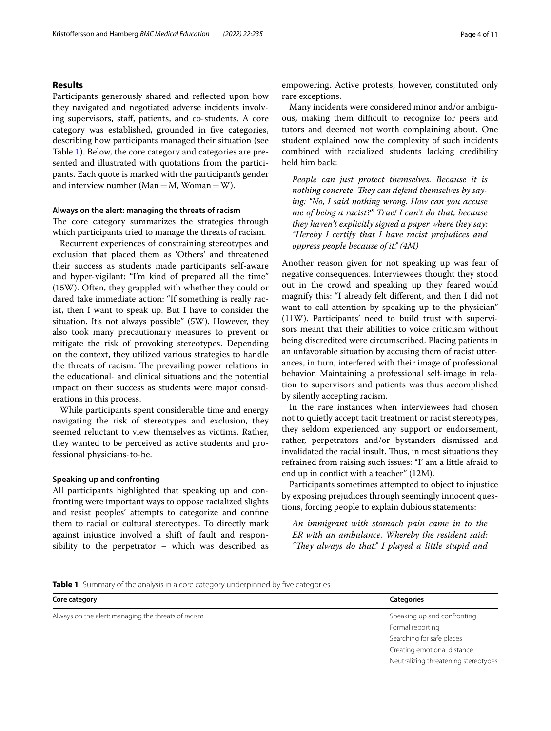# **Results**

Participants generously shared and refected upon how they navigated and negotiated adverse incidents involving supervisors, staf, patients, and co-students. A core category was established, grounded in fve categories, describing how participants managed their situation (see Table [1](#page-3-0)). Below, the core category and categories are presented and illustrated with quotations from the participants. Each quote is marked with the participant's gender and interview number ( $Man = M$ ,  $Woman = W$ ).

# **Always on the alert: managing the threats of racism**

The core category summarizes the strategies through which participants tried to manage the threats of racism.

Recurrent experiences of constraining stereotypes and exclusion that placed them as 'Others' and threatened their success as students made participants self-aware and hyper-vigilant: "I'm kind of prepared all the time" (15W). Often, they grappled with whether they could or dared take immediate action: "If something is really racist, then I want to speak up. But I have to consider the situation. It's not always possible" (5W). However, they also took many precautionary measures to prevent or mitigate the risk of provoking stereotypes. Depending on the context, they utilized various strategies to handle the threats of racism. The prevailing power relations in the educational- and clinical situations and the potential impact on their success as students were major considerations in this process.

While participants spent considerable time and energy navigating the risk of stereotypes and exclusion, they seemed reluctant to view themselves as victims. Rather, they wanted to be perceived as active students and professional physicians-to-be.

## **Speaking up and confronting**

All participants highlighted that speaking up and confronting were important ways to oppose racialized slights and resist peoples' attempts to categorize and confne them to racial or cultural stereotypes. To directly mark against injustice involved a shift of fault and responsibility to the perpetrator – which was described as empowering. Active protests, however, constituted only rare exceptions.

Many incidents were considered minor and/or ambiguous, making them difficult to recognize for peers and tutors and deemed not worth complaining about. One student explained how the complexity of such incidents combined with racialized students lacking credibility held him back:

*People can just protect themselves. Because it is*  nothing concrete. They can defend themselves by say*ing: "No, I said nothing wrong. How can you accuse me of being a racist?" True! I can't do that, because they haven't explicitly signed a paper where they say: "Hereby I certify that I have racist prejudices and oppress people because of it." (4M)*

Another reason given for not speaking up was fear of negative consequences. Interviewees thought they stood out in the crowd and speaking up they feared would magnify this: "I already felt diferent, and then I did not want to call attention by speaking up to the physician" (11W). Participants' need to build trust with supervisors meant that their abilities to voice criticism without being discredited were circumscribed. Placing patients in an unfavorable situation by accusing them of racist utterances, in turn, interfered with their image of professional behavior. Maintaining a professional self-image in relation to supervisors and patients was thus accomplished by silently accepting racism.

In the rare instances when interviewees had chosen not to quietly accept tacit treatment or racist stereotypes, they seldom experienced any support or endorsement, rather, perpetrators and/or bystanders dismissed and invalidated the racial insult. Thus, in most situations they refrained from raising such issues: "I' am a little afraid to end up in confict with a teacher" (12M).

Participants sometimes attempted to object to injustice by exposing prejudices through seemingly innocent questions, forcing people to explain dubious statements:

*An immigrant with stomach pain came in to the ER with an ambulance. Whereby the resident said: "Tey always do that." I played a little stupid and* 

<span id="page-3-0"></span>**Table 1** Summary of the analysis in a core category underpinned by five categories

| Core category                                       | <b>Categories</b>                    |
|-----------------------------------------------------|--------------------------------------|
| Always on the alert: managing the threats of racism | Speaking up and confronting          |
|                                                     | Formal reporting                     |
|                                                     | Searching for safe places            |
|                                                     | Creating emotional distance          |
|                                                     | Neutralizing threatening stereotypes |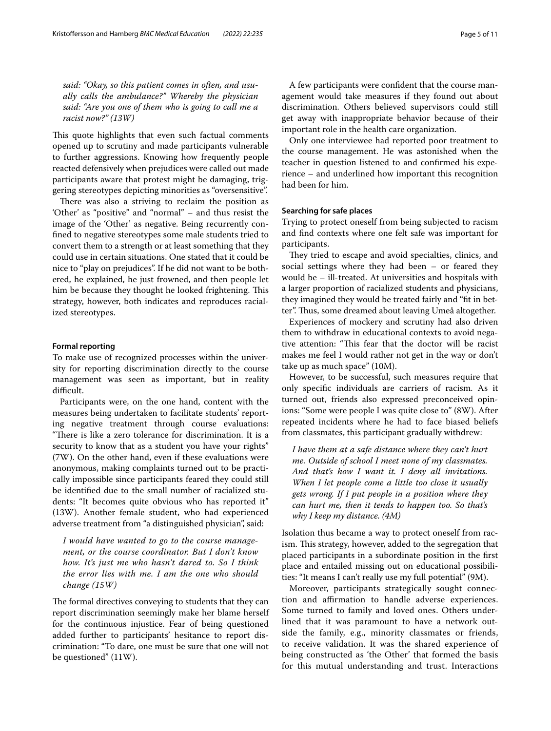*said: "Okay, so this patient comes in often, and usually calls the ambulance?" Whereby the physician said: "Are you one of them who is going to call me a racist now?" (13W)*

This quote highlights that even such factual comments opened up to scrutiny and made participants vulnerable to further aggressions. Knowing how frequently people reacted defensively when prejudices were called out made participants aware that protest might be damaging, triggering stereotypes depicting minorities as "oversensitive".

There was also a striving to reclaim the position as 'Other' as "positive" and "normal" – and thus resist the image of the 'Other' as negative. Being recurrently confned to negative stereotypes some male students tried to convert them to a strength or at least something that they could use in certain situations. One stated that it could be nice to "play on prejudices". If he did not want to be bothered, he explained, he just frowned, and then people let him be because they thought he looked frightening. This strategy, however, both indicates and reproduces racialized stereotypes.

## **Formal reporting**

To make use of recognized processes within the university for reporting discrimination directly to the course management was seen as important, but in reality difficult.

Participants were, on the one hand, content with the measures being undertaken to facilitate students' reporting negative treatment through course evaluations: "There is like a zero tolerance for discrimination. It is a security to know that as a student you have your rights" (7W). On the other hand, even if these evaluations were anonymous, making complaints turned out to be practically impossible since participants feared they could still be identifed due to the small number of racialized students: "It becomes quite obvious who has reported it" (13W). Another female student, who had experienced adverse treatment from "a distinguished physician", said:

*I would have wanted to go to the course management, or the course coordinator. But I don't know how. It's just me who hasn't dared to. So I think the error lies with me. I am the one who should change (15W)*

The formal directives conveying to students that they can report discrimination seemingly make her blame herself for the continuous injustice. Fear of being questioned added further to participants' hesitance to report discrimination: "To dare, one must be sure that one will not be questioned" (11W).

A few participants were confdent that the course management would take measures if they found out about discrimination. Others believed supervisors could still get away with inappropriate behavior because of their important role in the health care organization.

Only one interviewee had reported poor treatment to the course management. He was astonished when the teacher in question listened to and confrmed his experience – and underlined how important this recognition had been for him.

# **Searching for safe places**

Trying to protect oneself from being subjected to racism and fnd contexts where one felt safe was important for participants.

They tried to escape and avoid specialties, clinics, and social settings where they had been – or feared they would be – ill-treated. At universities and hospitals with a larger proportion of racialized students and physicians, they imagined they would be treated fairly and "ft in better". Thus, some dreamed about leaving Umeå altogether.

Experiences of mockery and scrutiny had also driven them to withdraw in educational contexts to avoid negative attention: "This fear that the doctor will be racist makes me feel I would rather not get in the way or don't take up as much space" (10M).

However, to be successful, such measures require that only specifc individuals are carriers of racism. As it turned out, friends also expressed preconceived opinions: "Some were people I was quite close to" (8W). After repeated incidents where he had to face biased beliefs from classmates, this participant gradually withdrew:

*I have them at a safe distance where they can't hurt me. Outside of school I meet none of my classmates. And that's how I want it. I deny all invitations. When I let people come a little too close it usually gets wrong. If I put people in a position where they can hurt me, then it tends to happen too. So that's why I keep my distance. (4M)*

Isolation thus became a way to protect oneself from racism. This strategy, however, added to the segregation that placed participants in a subordinate position in the frst place and entailed missing out on educational possibilities: "It means I can't really use my full potential" (9M).

Moreover, participants strategically sought connection and affirmation to handle adverse experiences. Some turned to family and loved ones. Others underlined that it was paramount to have a network outside the family, e.g., minority classmates or friends, to receive validation. It was the shared experience of being constructed as 'the Other' that formed the basis for this mutual understanding and trust. Interactions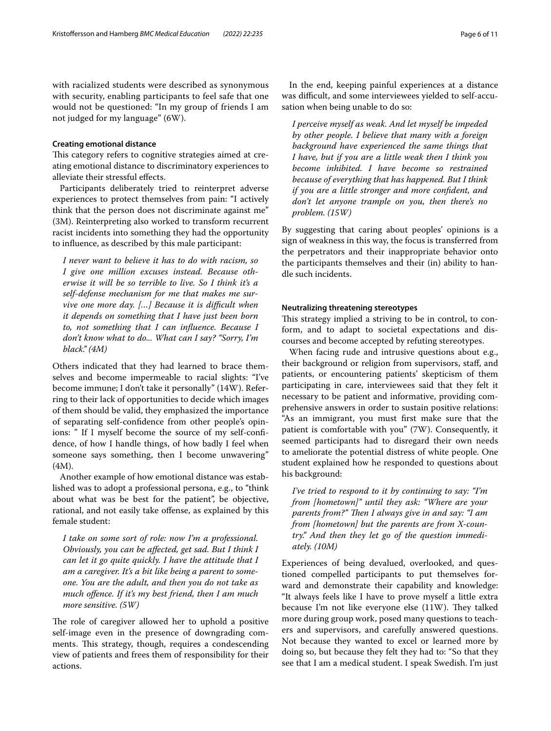with racialized students were described as synonymous with security, enabling participants to feel safe that one would not be questioned: "In my group of friends I am not judged for my language" (6W).

## **Creating emotional distance**

This category refers to cognitive strategies aimed at creating emotional distance to discriminatory experiences to alleviate their stressful efects.

Participants deliberately tried to reinterpret adverse experiences to protect themselves from pain: "I actively think that the person does not discriminate against me" (3M). Reinterpreting also worked to transform recurrent racist incidents into something they had the opportunity to infuence, as described by this male participant:

*I never want to believe it has to do with racism, so I give one million excuses instead. Because otherwise it will be so terrible to live. So I think it's a self-defense mechanism for me that makes me survive one more day.* [...] Because it is difficult when *it depends on something that I have just been born to, not something that I can infuence. Because I don't know what to do... What can I say? "Sorry, I'm black." (4M)*

Others indicated that they had learned to brace themselves and become impermeable to racial slights: "I've become immune; I don't take it personally" (14W). Referring to their lack of opportunities to decide which images of them should be valid, they emphasized the importance of separating self-confdence from other people's opinions: " If I myself become the source of my self-confdence, of how I handle things, of how badly I feel when someone says something, then I become unwavering" (4M).

Another example of how emotional distance was established was to adopt a professional persona, e.g., to "think about what was be best for the patient", be objective, rational, and not easily take offense, as explained by this female student:

*I take on some sort of role: now I'm a professional. Obviously, you can be afected, get sad. But I think I can let it go quite quickly. I have the attitude that I am a caregiver. It's a bit like being a parent to someone. You are the adult, and then you do not take as much ofence. If it's my best friend, then I am much more sensitive. (5W)*

The role of caregiver allowed her to uphold a positive self-image even in the presence of downgrading comments. This strategy, though, requires a condescending view of patients and frees them of responsibility for their actions.

In the end, keeping painful experiences at a distance was difficult, and some interviewees yielded to self-accusation when being unable to do so:

*I perceive myself as weak. And let myself be impeded by other people. I believe that many with a foreign background have experienced the same things that I have, but if you are a little weak then I think you become inhibited. I have become so restrained because of everything that has happened. But I think if you are a little stronger and more confdent, and don't let anyone trample on you, then there's no problem. (15W)*

By suggesting that caring about peoples' opinions is a sign of weakness in this way, the focus is transferred from the perpetrators and their inappropriate behavior onto the participants themselves and their (in) ability to handle such incidents.

# **Neutralizing threatening stereotypes**

This strategy implied a striving to be in control, to conform, and to adapt to societal expectations and discourses and become accepted by refuting stereotypes.

When facing rude and intrusive questions about e.g., their background or religion from supervisors, staff, and patients, or encountering patients' skepticism of them participating in care, interviewees said that they felt it necessary to be patient and informative, providing comprehensive answers in order to sustain positive relations: "As an immigrant, you must frst make sure that the patient is comfortable with you" (7W). Consequently, it seemed participants had to disregard their own needs to ameliorate the potential distress of white people. One student explained how he responded to questions about his background:

*I've tried to respond to it by continuing to say: "I'm from [hometown]" until they ask: "Where are your parents from?" Then I always give in and say: "I am from [hometown] but the parents are from X-country." And then they let go of the question immediately. (10M)*

Experiences of being devalued, overlooked, and questioned compelled participants to put themselves forward and demonstrate their capability and knowledge: "It always feels like I have to prove myself a little extra because I'm not like everyone else (11W). They talked more during group work, posed many questions to teachers and supervisors, and carefully answered questions. Not because they wanted to excel or learned more by doing so, but because they felt they had to: "So that they see that I am a medical student. I speak Swedish. I'm just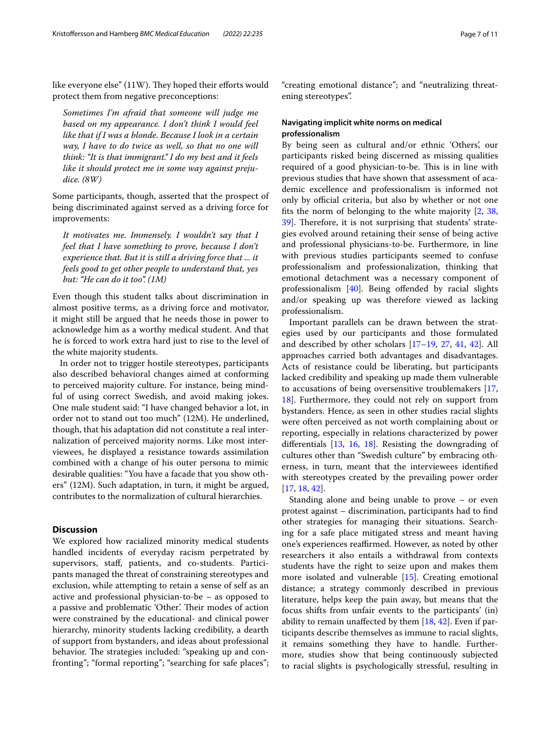like everyone else" (11W). They hoped their efforts would protect them from negative preconceptions:

*Sometimes I'm afraid that someone will judge me based on my appearance. I don't think I would feel like that if I was a blonde. Because I look in a certain way, I have to do twice as well, so that no one will think: "It is that immigrant." I do my best and it feels like it should protect me in some way against prejudice. (8W)*

Some participants, though, asserted that the prospect of being discriminated against served as a driving force for improvements:

*It motivates me. Immensely. I wouldn't say that I feel that I have something to prove, because I don't experience that. But it is still a driving force that ... it feels good to get other people to understand that, yes but: "He can do it too". (1M)*

Even though this student talks about discrimination in almost positive terms, as a driving force and motivator, it might still be argued that he needs those in power to acknowledge him as a worthy medical student. And that he is forced to work extra hard just to rise to the level of the white majority students.

In order not to trigger hostile stereotypes, participants also described behavioral changes aimed at conforming to perceived majority culture. For instance, being mindful of using correct Swedish, and avoid making jokes. One male student said: "I have changed behavior a lot, in order not to stand out too much" (12M). He underlined, though, that his adaptation did not constitute a real internalization of perceived majority norms. Like most interviewees, he displayed a resistance towards assimilation combined with a change of his outer persona to mimic desirable qualities: "You have a facade that you show others" (12M). Such adaptation, in turn, it might be argued, contributes to the normalization of cultural hierarchies.

# **Discussion**

We explored how racialized minority medical students handled incidents of everyday racism perpetrated by supervisors, staf, patients, and co-students. Participants managed the threat of constraining stereotypes and exclusion, while attempting to retain a sense of self as an active and professional physician-to-be – as opposed to a passive and problematic 'Other'. Their modes of action were constrained by the educational- and clinical power hierarchy, minority students lacking credibility, a dearth of support from bystanders, and ideas about professional behavior. The strategies included: "speaking up and confronting"; "formal reporting"; "searching for safe places";

"creating emotional distance"; and "neutralizing threatening stereotypes".

# **Navigating implicit white norms on medical professionalism**

By being seen as cultural and/or ethnic 'Others', our participants risked being discerned as missing qualities required of a good physician-to-be. This is in line with previous studies that have shown that assessment of academic excellence and professionalism is informed not only by official criteria, but also by whether or not one fts the norm of belonging to the white majority [[2,](#page-9-30) [38](#page-9-31), [39\]](#page-9-32). Therefore, it is not surprising that students' strategies evolved around retaining their sense of being active and professional physicians-to-be. Furthermore, in line with previous studies participants seemed to confuse professionalism and professionalization, thinking that emotional detachment was a necessary component of professionalism  $[40]$  $[40]$  $[40]$ . Being offended by racial slights and/or speaking up was therefore viewed as lacking professionalism.

Important parallels can be drawn between the strategies used by our participants and those formulated and described by other scholars [\[17](#page-9-7)[–19,](#page-9-11) [27](#page-9-19), [41](#page-9-34), [42\]](#page-9-35). All approaches carried both advantages and disadvantages. Acts of resistance could be liberating, but participants lacked credibility and speaking up made them vulnerable to accusations of being oversensitive troublemakers [[17](#page-9-7), [18\]](#page-9-8). Furthermore, they could not rely on support from bystanders. Hence, as seen in other studies racial slights were often perceived as not worth complaining about or reporting, especially in relations characterized by power diferentials [[13](#page-9-9), [16,](#page-9-6) [18](#page-9-8)]. Resisting the downgrading of cultures other than "Swedish culture" by embracing otherness, in turn, meant that the interviewees identifed with stereotypes created by the prevailing power order [[17,](#page-9-7) [18](#page-9-8), [42\]](#page-9-35).

Standing alone and being unable to prove – or even protest against – discrimination, participants had to fnd other strategies for managing their situations. Searching for a safe place mitigated stress and meant having one's experiences reaffirmed. However, as noted by other researchers it also entails a withdrawal from contexts students have the right to seize upon and makes them more isolated and vulnerable [\[15](#page-9-10)]. Creating emotional distance; a strategy commonly described in previous literature, helps keep the pain away, but means that the focus shifts from unfair events to the participants' (in) ability to remain unafected by them [\[18,](#page-9-8) [42\]](#page-9-35). Even if participants describe themselves as immune to racial slights, it remains something they have to handle. Furthermore, studies show that being continuously subjected to racial slights is psychologically stressful, resulting in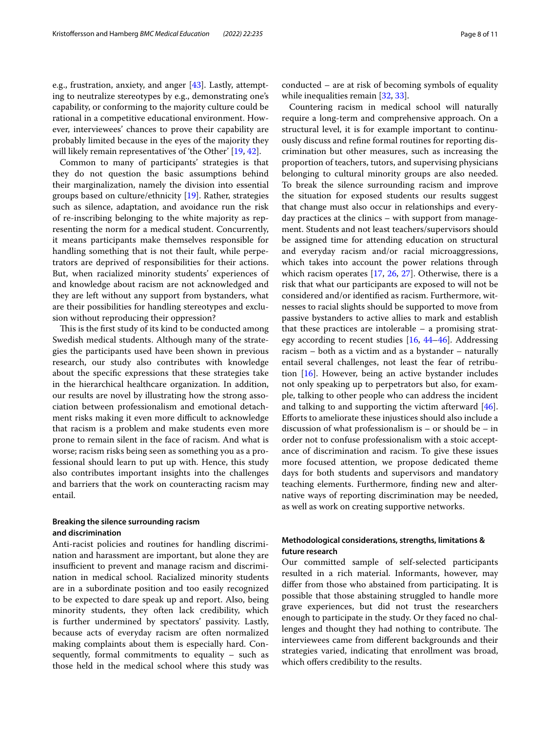e.g., frustration, anxiety, and anger [[43](#page-9-36)]. Lastly, attempting to neutralize stereotypes by e.g., demonstrating one's capability, or conforming to the majority culture could be rational in a competitive educational environment. However, interviewees' chances to prove their capability are probably limited because in the eyes of the majority they will likely remain representatives of 'the Other' [[19,](#page-9-11) [42](#page-9-35)].

Common to many of participants' strategies is that they do not question the basic assumptions behind their marginalization, namely the division into essential groups based on culture/ethnicity [\[19\]](#page-9-11). Rather, strategies such as silence, adaptation, and avoidance run the risk of re-inscribing belonging to the white majority as representing the norm for a medical student. Concurrently, it means participants make themselves responsible for handling something that is not their fault, while perpetrators are deprived of responsibilities for their actions. But, when racialized minority students' experiences of and knowledge about racism are not acknowledged and they are left without any support from bystanders, what are their possibilities for handling stereotypes and exclusion without reproducing their oppression?

This is the first study of its kind to be conducted among Swedish medical students. Although many of the strategies the participants used have been shown in previous research, our study also contributes with knowledge about the specifc expressions that these strategies take in the hierarchical healthcare organization. In addition, our results are novel by illustrating how the strong association between professionalism and emotional detachment risks making it even more difficult to acknowledge that racism is a problem and make students even more prone to remain silent in the face of racism. And what is worse; racism risks being seen as something you as a professional should learn to put up with. Hence, this study also contributes important insights into the challenges and barriers that the work on counteracting racism may entail.

# **Breaking the silence surrounding racism and discrimination**

Anti-racist policies and routines for handling discrimination and harassment are important, but alone they are insufficient to prevent and manage racism and discrimination in medical school. Racialized minority students are in a subordinate position and too easily recognized to be expected to dare speak up and report. Also, being minority students, they often lack credibility, which is further undermined by spectators' passivity. Lastly, because acts of everyday racism are often normalized making complaints about them is especially hard. Consequently, formal commitments to equality – such as those held in the medical school where this study was conducted – are at risk of becoming symbols of equality while inequalities remain [[32,](#page-9-24) [33](#page-9-25)].

Countering racism in medical school will naturally require a long-term and comprehensive approach. On a structural level, it is for example important to continuously discuss and refne formal routines for reporting discrimination but other measures, such as increasing the proportion of teachers, tutors, and supervising physicians belonging to cultural minority groups are also needed. To break the silence surrounding racism and improve the situation for exposed students our results suggest that change must also occur in relationships and everyday practices at the clinics – with support from management. Students and not least teachers/supervisors should be assigned time for attending education on structural and everyday racism and/or racial microaggressions, which takes into account the power relations through which racism operates [[17,](#page-9-7) [26,](#page-9-18) [27\]](#page-9-19). Otherwise, there is a risk that what our participants are exposed to will not be considered and/or identifed as racism. Furthermore, witnesses to racial slights should be supported to move from passive bystanders to active allies to mark and establish that these practices are intolerable – a promising strategy according to recent studies  $[16, 44-46]$  $[16, 44-46]$  $[16, 44-46]$ . Addressing racism – both as a victim and as a bystander – naturally entail several challenges, not least the fear of retribution [[16\]](#page-9-6). However, being an active bystander includes not only speaking up to perpetrators but also, for example, talking to other people who can address the incident and talking to and supporting the victim afterward [\[46](#page-10-0)]. Eforts to ameliorate these injustices should also include a discussion of what professionalism is – or should be – in order not to confuse professionalism with a stoic acceptance of discrimination and racism. To give these issues more focused attention, we propose dedicated theme days for both students and supervisors and mandatory teaching elements. Furthermore, fnding new and alternative ways of reporting discrimination may be needed, as well as work on creating supportive networks.

# **Methodological considerations, strengths, limitations & future research**

Our committed sample of self-selected participants resulted in a rich material. Informants, however, may difer from those who abstained from participating. It is possible that those abstaining struggled to handle more grave experiences, but did not trust the researchers enough to participate in the study. Or they faced no challenges and thought they had nothing to contribute. The interviewees came from diferent backgrounds and their strategies varied, indicating that enrollment was broad, which offers credibility to the results.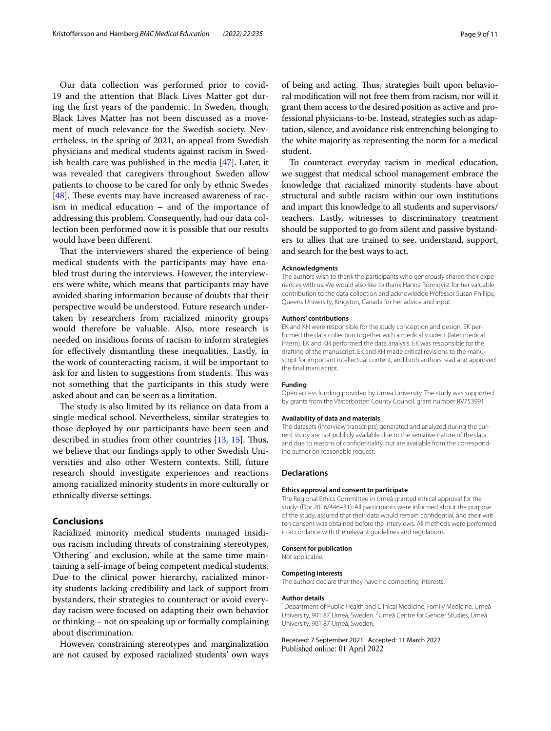Our data collection was performed prior to covid-19 and the attention that Black Lives Matter got during the frst years of the pandemic. In Sweden, though, Black Lives Matter has not been discussed as a movement of much relevance for the Swedish society. Nevertheless, in the spring of 2021, an appeal from Swedish physicians and medical students against racism in Swedish health care was published in the media [\[47](#page-10-1)]. Later, it was revealed that caregivers throughout Sweden allow patients to choose to be cared for only by ethnic Swedes [ $48$ ]. These events may have increased awareness of racism in medical education **–** and of the importance of addressing this problem. Consequently, had our data collection been performed now it is possible that our results would have been diferent.

That the interviewers shared the experience of being medical students with the participants may have enabled trust during the interviews. However, the interviewers were white, which means that participants may have avoided sharing information because of doubts that their perspective would be understood. Future research undertaken by researchers from racialized minority groups would therefore be valuable. Also, more research is needed on insidious forms of racism to inform strategies for efectively dismantling these inequalities. Lastly, in the work of counteracting racism, it will be important to ask for and listen to suggestions from students. This was not something that the participants in this study were asked about and can be seen as a limitation.

The study is also limited by its reliance on data from a single medical school. Nevertheless, similar strategies to those deployed by our participants have been seen and described in studies from other countries [[13,](#page-9-9) [15\]](#page-9-10). Thus, we believe that our fndings apply to other Swedish Universities and also other Western contexts. Still, future research should investigate experiences and reactions among racialized minority students in more culturally or ethnically diverse settings.

# **Conclusions**

Racialized minority medical students managed insidious racism including threats of constraining stereotypes, 'Othering' and exclusion, while at the same time maintaining a self-image of being competent medical students. Due to the clinical power hierarchy, racialized minority students lacking credibility and lack of support from bystanders, their strategies to counteract or avoid everyday racism were focused on adapting their own behavior or thinking – not on speaking up or formally complaining about discrimination.

However, constraining stereotypes and marginalization are not caused by exposed racialized students' own ways of being and acting. Thus, strategies built upon behavioral modifcation will not free them from racism, nor will it grant them access to the desired position as active and professional physicians-to-be. Instead, strategies such as adaptation, silence, and avoidance risk entrenching belonging to the white majority as representing the norm for a medical student.

To counteract everyday racism in medical education, we suggest that medical school management embrace the knowledge that racialized minority students have about structural and subtle racism within our own institutions and impart this knowledge to all students and supervisors/ teachers. Lastly, witnesses to discriminatory treatment should be supported to go from silent and passive bystanders to allies that are trained to see, understand, support, and search for the best ways to act.

#### **Acknowledgments**

The authors wish to thank the participants who generously shared their experiences with us. We would also like to thank Hanna Rönnqvist for her valuable contribution to the data collection and acknowledge Professor Susan Phillips, Queens University, Kingston, Canada for her advice and input.

## **Authors' contributions**

EK and KH were responsible for the study conception and design. EK performed the data collection together with a medical student (later medical intern). EK and KH performed the data analysis. EK was responsible for the drafting of the manuscript. EK and KH made critical revisions to the manuscript for important intellectual content, and both authors read and approved the fnal manuscript.

## **Funding**

Open access funding provided by Umea University. The study was supported by grants from the Västerbotten County Council, grant number RV753991.

#### **Availability of data and materials**

The datasets (interview transcripts) generated and analyzed during the current study are not publicly available due to the sensitive nature of the data and due to reasons of confdentiality, but are available from the corresponding author on reasonable request.

## **Declarations**

#### **Ethics approval and consent to participate**

The Regional Ethics Committee in Umeå granted ethical approval for the study: (Dnr 2016/446–31). All participants were informed about the purpose of the study, assured that their data would remain confdential, and their written consent was obtained before the interviews. All methods were performed in accordance with the relevant guidelines and regulations.

#### **Consent for publication**

Not applicable.

#### **Competing interests**

The authors declare that they have no competing interests.

### **Author details**

<sup>1</sup> Department of Public Health and Clinical Medicine, Family Medicine, Umeå University, 901 87 Umeå, Sweden. <sup>2</sup>Umeå Centre for Gender Studies, Umeå University, 901 87 Umeå, Sweden.

Received: 7 September 2021 Accepted: 11 March 2022Published online: 01 April 2022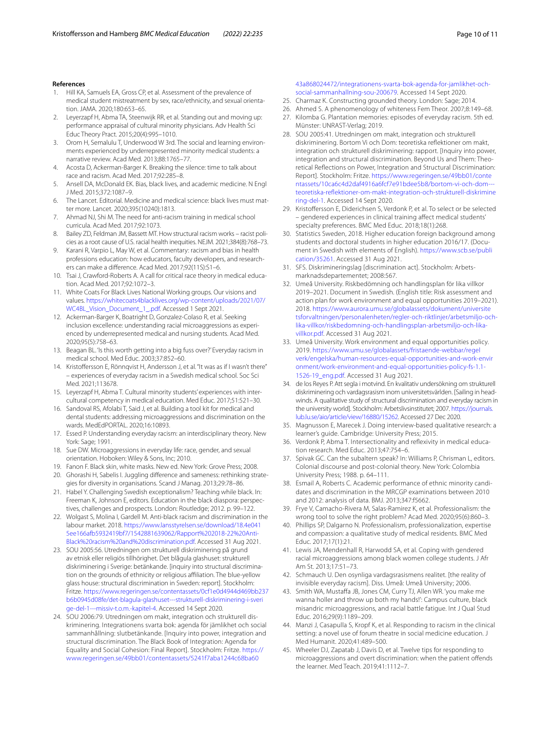## **References**

- <span id="page-9-0"></span>1. Hill KA, Samuels EA, Gross CP, et al. Assessment of the prevalence of medical student mistreatment by sex, race/ethnicity, and sexual orientation. JAMA. 2020;180:653–65.
- <span id="page-9-30"></span>2. Leyerzapf H, Abma TA, Steenwijk RR, et al. Standing out and moving up: performance appraisal of cultural minority physicians. Adv Health Sci Educ Theory Pract. 2015;20(4):995–1010.
- <span id="page-9-1"></span>3. Orom H, Semalulu T, Underwood W 3rd. The social and learning environments experienced by underrepresented minority medical students: a narrative review. Acad Med. 2013;88:1765–77.
- <span id="page-9-2"></span>4. Acosta D, Ackerman-Barger K. Breaking the silence: time to talk about race and racism. Acad Med. 2017;92:285–8.
- 5. Ansell DA, McDonald EK. Bias, black lives, and academic medicine. N Engl J Med. 2015;372:1087–9.
- <span id="page-9-3"></span>6. The Lancet. Editorial. Medicine and medical science: black lives must matter more. Lancet. 2020;395(10240):1813.
- 7. Ahmad NJ, Shi M. The need for anti-racism training in medical school curricula. Acad Med. 2017;92:1073.
- 8. Bailey ZD, Feldman JM, Bassett MT. How structural racism works racist policies as a root cause of U.S. racial health inequities. NEJM. 2021;384(8):768–73.
- 9. Karani R, Varpio L, May W, et al. Commentary: racism and bias in health professions education: how educators, faculty developers, and researchers can make a diference. Acad Med. 2017;92(11S):S1–6.
- 10. Tsai J, Crawford-Roberts A. A call for critical race theory in medical education. Acad Med. 2017;92:1072–3.
- <span id="page-9-4"></span>11. White Coats For Black Lives National Working groups. Our visions and values. [https://whitecoats4blacklives.org/wp-content/uploads/2021/07/](https://whitecoats4blacklives.org/wp-content/uploads/2021/07/WC4BL_Vision_Document_1_.pdf) [WC4BL\\_Vision\\_Document\\_1\\_.pdf.](https://whitecoats4blacklives.org/wp-content/uploads/2021/07/WC4BL_Vision_Document_1_.pdf) Accessed 1 Sept 2021.
- <span id="page-9-5"></span>12. Ackerman-Barger K, Boatright D, Gonzalez-Colaso R, et al. Seeking inclusion excellence: understanding racial microaggressions as experienced by underrepresented medical and nursing students. Acad Med. 2020;95(5):758–63.
- <span id="page-9-9"></span>13. Beagan BL. 'Is this worth getting into a big fuss over?' Everyday racism in medical school. Med Educ. 2003;37:852–60.
- <span id="page-9-16"></span>14. Kristofersson E, Rönnqvist H, Andersson J, et al. "It was as if I wasn't there" – experiences of everyday racism in a Swedish medical school. Soc Sci Med. 2021;113678.
- <span id="page-9-10"></span>15. Leyerzapf H, Abma T. Cultural minority students' experiences with intercultural competency in medical education. Med Educ. 2017;51:521–30.
- <span id="page-9-6"></span>16. Sandoval RS, Afolabi T, Said J, et al. Building a tool kit for medical and dental students: addressing microaggressions and discrimination on the wards. MedEdPORTAL. 2020;16:10893.
- <span id="page-9-7"></span>17. Essed P. Understanding everyday racism: an interdisciplinary theory. New York: Sage: 1991.
- <span id="page-9-8"></span>18. Sue DW. Microaggressions in everyday life: race, gender, and sexual orientation. Hoboken: Wiley & Sons, Inc; 2010.
- <span id="page-9-11"></span>19. Fanon F. Black skin, white masks. New ed. New York: Grove Press; 2008.
- <span id="page-9-12"></span>20. Ghorashi H, Sabelis I. Juggling diference and sameness: rethinking strategies for diversity in organisations. Scand J Manag. 2013;29:78–86.
- <span id="page-9-13"></span>21. Habel Y. Challenging Swedish exceptionalism? Teaching while black. In: Freeman K, Johnson E, editors. Education in the black diaspora: perspectives, challenges and prospects. London: Routledge; 2012. p. 99–122.
- <span id="page-9-14"></span>22. Wolgast S, Molina I, Gardell M. Anti-black racism and discrimination in the labour market. 2018. [https://www.lansstyrelsen.se/download/18.4e041](https://www.lansstyrelsen.se/download/18.4e0415ee166afb5932419bf7/1542881639062/Rapport%202018-22%20Anti-Black%20racism%20and%20discrimination.pdf) [5ee166afb5932419bf7/1542881639062/Rapport%202018-22%20Anti-](https://www.lansstyrelsen.se/download/18.4e0415ee166afb5932419bf7/1542881639062/Rapport%202018-22%20Anti-Black%20racism%20and%20discrimination.pdf)[Black%20racism%20and%20discrimination.pdf](https://www.lansstyrelsen.se/download/18.4e0415ee166afb5932419bf7/1542881639062/Rapport%202018-22%20Anti-Black%20racism%20and%20discrimination.pdf). Accessed 31 Aug 2021.
- 23. SOU 2005:56. Utredningen om strukturell diskriminering på grund av etnisk eller religiös tillhörighet. Det blågula glashuset: strukturell diskriminering i Sverige: betänkande. [inquiry into structural discrimination on the grounds of ethnicity or religious affiliation. The blue-yellow glass house: structural discrimination in Sweden: report]. Stockholm: Fritze. [https://www.regeringen.se/contentassets/0cf1e0d4944d469bb237](https://www.regeringen.se/contentassets/0cf1e0d4944d469bb237b6b0945d08fe/det-blagula-glashuset---strukturell-diskriminering-i-sverige-del-1---missiv-t.o.m.-kapitel-4) [b6b0945d08fe/det-blagula-glashuset---strukturell-diskriminering-i-sveri](https://www.regeringen.se/contentassets/0cf1e0d4944d469bb237b6b0945d08fe/det-blagula-glashuset---strukturell-diskriminering-i-sverige-del-1---missiv-t.o.m.-kapitel-4) [ge-del-1---missiv-t.o.m.-kapitel-4.](https://www.regeringen.se/contentassets/0cf1e0d4944d469bb237b6b0945d08fe/det-blagula-glashuset---strukturell-diskriminering-i-sverige-del-1---missiv-t.o.m.-kapitel-4) Accessed 14 Sept 2020.
- <span id="page-9-15"></span>24. SOU 2006:79. Utredningen om makt, integration och strukturell diskriminering. Integrationens svarta bok: agenda för jämlikhet och social sammanhållning: slutbetänkande. [Inquiry into power, integration and structural discrimination. The Black Book of Integration: Agenda for Equality and Social Cohesion: Final Report]. Stockholm: Fritze. [https://](https://www.regeringen.se/49bb01/contentassets/5241f7aba1244c68ba6043a868024472/integrationens-svarta-bok-agenda-for-jamlikhet-och-social-sammanhallning-sou-200679) [www.regeringen.se/49bb01/contentassets/5241f7aba1244c68ba60](https://www.regeringen.se/49bb01/contentassets/5241f7aba1244c68ba6043a868024472/integrationens-svarta-bok-agenda-for-jamlikhet-och-social-sammanhallning-sou-200679)

[43a868024472/integrationens-svarta-bok-agenda-for-jamlikhet-och](https://www.regeringen.se/49bb01/contentassets/5241f7aba1244c68ba6043a868024472/integrationens-svarta-bok-agenda-for-jamlikhet-och-social-sammanhallning-sou-200679)[social-sammanhallning-sou-200679](https://www.regeringen.se/49bb01/contentassets/5241f7aba1244c68ba6043a868024472/integrationens-svarta-bok-agenda-for-jamlikhet-och-social-sammanhallning-sou-200679). Accessed 14 Sept 2020.

- <span id="page-9-17"></span>25. Charmaz K. Constructing grounded theory. London: Sage; 2014.
- <span id="page-9-18"></span>26. Ahmed S. A phenomenology of whiteness Fem Theor. 2007;8:149–68.
- <span id="page-9-19"></span>27. Kilomba G. Plantation memories: episodes of everyday racism. 5th ed. Münster: UNRAST-Verlag; 2019.
- <span id="page-9-20"></span>28. SOU 2005:41. Utredningen om makt, integration och strukturell diskriminering. Bortom Vi och Dom: teoretiska refektioner om makt, integration och strukturell diskriminering: rapport. [Inquiry into power, integration and structural discrimination. Beyond Us and Them: Theoretical Refections on Power, Integration and Structural Discrimination: Report]. Stockholm: Fritze. [https://www.regeringen.se/49bb01/conte](https://www.regeringen.se/49bb01/contentassets/10ca6c4d2daf4916a6fcf7e91bdee5b8/bortom-vi-och-dom---teoretiska-reflektioner-om-makt-integration-och-strukturell-diskriminering-del-1) [ntassets/10ca6c4d2daf4916a6fcf7e91bdee5b8/bortom-vi-och-dom--](https://www.regeringen.se/49bb01/contentassets/10ca6c4d2daf4916a6fcf7e91bdee5b8/bortom-vi-och-dom---teoretiska-reflektioner-om-makt-integration-och-strukturell-diskriminering-del-1) [teoretiska-refektioner-om-makt-integration-och-strukturell-diskrimine](https://www.regeringen.se/49bb01/contentassets/10ca6c4d2daf4916a6fcf7e91bdee5b8/bortom-vi-och-dom---teoretiska-reflektioner-om-makt-integration-och-strukturell-diskriminering-del-1) [ring-del-1](https://www.regeringen.se/49bb01/contentassets/10ca6c4d2daf4916a6fcf7e91bdee5b8/bortom-vi-och-dom---teoretiska-reflektioner-om-makt-integration-och-strukturell-diskriminering-del-1). Accessed 14 Sept 2020.
- <span id="page-9-21"></span>29. Kristofersson E, Diderichsen S, Verdonk P, et al. To select or be selected – gendered experiences in clinical training afect medical students' specialty preferences. BMC Med Educ. 2018;18(1):268.
- <span id="page-9-22"></span>30. Statistics Sweden, 2018. Higher education foreign background among students and doctoral students in higher education 2016/17. (Document in Swedish with elements of English). [https://www.scb.se/publi](https://www.scb.se/publication/35261) [cation/35261.](https://www.scb.se/publication/35261) Accessed 31 Aug 2021.
- <span id="page-9-23"></span>31. SFS. Diskrimineringslag [discrimination act]. Stockholm: Arbetsmarknadsdepartementet; 2008:567.
- <span id="page-9-24"></span>32. Umeå University. Riskbedömning och handlingsplan för lika villkor 2019–2021. Document in Swedish. (English title: Risk assessment and action plan for work environment and equal opportunities 2019–2021). 2018. [https://www.aurora.umu.se/globalassets/dokument/universite](https://www.aurora.umu.se/globalassets/dokument/universitetsforvaltningen/personalenheten/regler-och-riktlinjer/arbetsmiljo-och-lika-villkor/riskbedomning-och-handlingsplan-arbetsmiljo-och-lika-villkor.pdf) [tsforvaltningen/personalenheten/regler-och-riktlinjer/arbetsmiljo-och](https://www.aurora.umu.se/globalassets/dokument/universitetsforvaltningen/personalenheten/regler-och-riktlinjer/arbetsmiljo-och-lika-villkor/riskbedomning-och-handlingsplan-arbetsmiljo-och-lika-villkor.pdf)[lika-villkor/riskbedomning-och-handlingsplan-arbetsmiljo-och-lika](https://www.aurora.umu.se/globalassets/dokument/universitetsforvaltningen/personalenheten/regler-och-riktlinjer/arbetsmiljo-och-lika-villkor/riskbedomning-och-handlingsplan-arbetsmiljo-och-lika-villkor.pdf)[villkor.pdf](https://www.aurora.umu.se/globalassets/dokument/universitetsforvaltningen/personalenheten/regler-och-riktlinjer/arbetsmiljo-och-lika-villkor/riskbedomning-och-handlingsplan-arbetsmiljo-och-lika-villkor.pdf). Accessed 31 Aug 2021.
- <span id="page-9-25"></span>33. Umeå University. Work environment and equal opportunities policy. 2019. [https://www.umu.se/globalassets/fristaende-webbar/regel](https://www.umu.se/globalassets/fristaende-webbar/regelverk/engelska/human-resources-equal-opportunities-and-work-environment/work-environment-and-equal-opportunities-policy-fs-1.1-1526-19_eng.pdf) [verk/engelska/human-resources-equal-opportunities-and-work-envir](https://www.umu.se/globalassets/fristaende-webbar/regelverk/engelska/human-resources-equal-opportunities-and-work-environment/work-environment-and-equal-opportunities-policy-fs-1.1-1526-19_eng.pdf) [onment/work-environment-and-equal-opportunities-policy-fs-1.1-](https://www.umu.se/globalassets/fristaende-webbar/regelverk/engelska/human-resources-equal-opportunities-and-work-environment/work-environment-and-equal-opportunities-policy-fs-1.1-1526-19_eng.pdf) [1526-19\\_eng.pdf](https://www.umu.se/globalassets/fristaende-webbar/regelverk/engelska/human-resources-equal-opportunities-and-work-environment/work-environment-and-equal-opportunities-policy-fs-1.1-1526-19_eng.pdf). Accessed 31 Aug 2021.
- <span id="page-9-26"></span>34. de los Reyes P. Att segla i motvind. En kvalitativ undersökning om strukturell diskriminering och vardagsrasism inom universitetsvärlden. [Sailing in headwinds. A qualitative study of structural discrimination and everyday racism in the university world]. Stockholm: Arbetslivsinstitutet; 2007. [https://journals.](https://journals.lub.lu.se/aio/article/view/16880/15262) [lub.lu.se/aio/article/view/16880/15262](https://journals.lub.lu.se/aio/article/view/16880/15262). Accessed 27 Dec 2020.
- <span id="page-9-27"></span>35. Magnusson E, Marecek J. Doing interview-based qualitative research: a learner's guide. Cambridge: University Press; 2015.
- <span id="page-9-28"></span>36. Verdonk P, Abma T. Intersectionality and refexivity in medical education research. Med Educ. 2013;47:754–6.
- <span id="page-9-29"></span>37. Spivak GC. Can the subaltern speak? In: Williams P, Chrisman L, editors. Colonial discourse and post-colonial theory. New York: Colombia University Press; 1988. p. 64–111.
- <span id="page-9-31"></span>38. Esmail A, Roberts C. Academic performance of ethnic minority candidates and discrimination in the MRCGP examinations between 2010 and 2012: analysis of data. BMJ. 2013;347:f5662.
- <span id="page-9-32"></span>39. Frye V, Camacho-Rivera M, Salas-Ramirez K, et al. Professionalism: the wrong tool to solve the right problem? Acad Med. 2020;95(6):860–3.
- <span id="page-9-33"></span>40. Phillips SP, Dalgarno N. Professionalism, professionalization, expertise and compassion: a qualitative study of medical residents. BMC Med Educ. 2017;17(1):21.
- <span id="page-9-34"></span>41. Lewis JA, Mendenhall R, Harwodd SA, et al. Coping with gendered racial microaggressions among black women college students. J Afr Am St. 2013;17:51–73.
- <span id="page-9-35"></span>42. Schmauch U. Den osynliga vardagsrasismens realitet. [the reality of invisible everyday racism]. Diss. Umeå: Umeå University; 2006.
- <span id="page-9-36"></span>43. Smith WA, Mustaffa JB, Jones CM, Curry TJ, Allen WR. 'you make me wanna holler and throw up both my hands!': Campus culture, black misandric microaggressions, and racial battle fatigue. Int J Qual Stud Educ. 2016;29(9):1189–209.
- <span id="page-9-37"></span>44. Manzi J, Casapulla S, Kropf K, et al. Responding to racism in the clinical setting: a novel use of forum theatre in social medicine education. J Med Humanit. 2020;41:489–500.
- 45. Wheeler DJ, Zapatab J, Davis D, et al. Twelve tips for responding to microaggressions and overt discrimination: when the patient ofends the learner. Med Teach. 2019;41:1112–7.